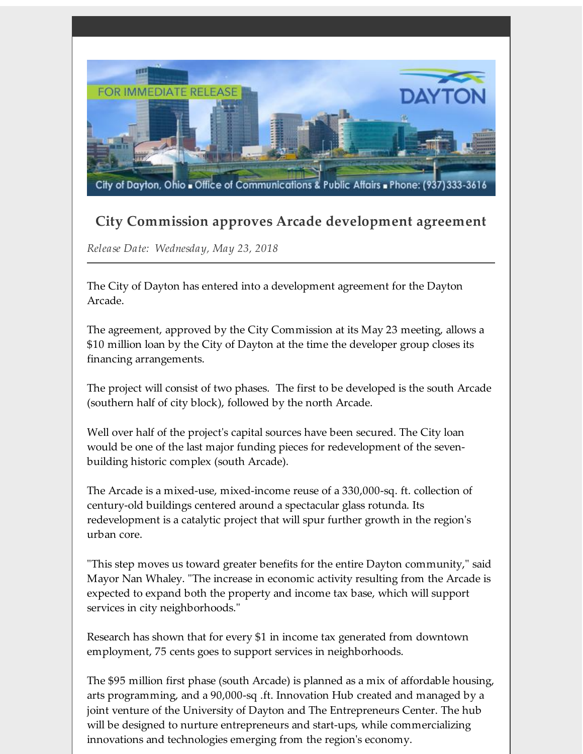

## **City Commission approves Arcade development agreement**

*Release Date: Wednesday, May 23, 2018*

The City of Dayton has entered into a development agreement for the Dayton Arcade.

The agreement, approved by the City Commission at its May 23 meeting, allows a \$10 million loan by the City of Dayton at the time the developer group closes its financing arrangements.

The project will consist of two phases. The first to be developed is the south Arcade (southern half of city block), followed by the north Arcade.

Well over half of the project's capital sources have been secured. The City loan would be one of the last major funding pieces for redevelopment of the sevenbuilding historic complex (south Arcade).

The Arcade is a mixed-use, mixed-income reuse of a 330,000-sq. ft. collection of century-old buildings centered around a spectacular glass rotunda. Its redevelopment is a catalytic project that will spur further growth in the region's urban core.

"This step moves us toward greater benefits for the entire Dayton community," said Mayor Nan Whaley. "The increase in economic activity resulting from the Arcade is expected to expand both the property and income tax base, which will support services in city neighborhoods."

Research has shown that for every \$1 in income tax generated from downtown employment, 75 cents goes to support services in neighborhoods.

The \$95 million first phase (south Arcade) is planned as a mix of affordable housing, arts programming, and a 90,000-sq .ft. Innovation Hub created and managed by a joint venture of the University of Dayton and The Entrepreneurs Center. The hub will be designed to nurture entrepreneurs and start-ups, while commercializing innovations and technologies emerging from the region's economy.